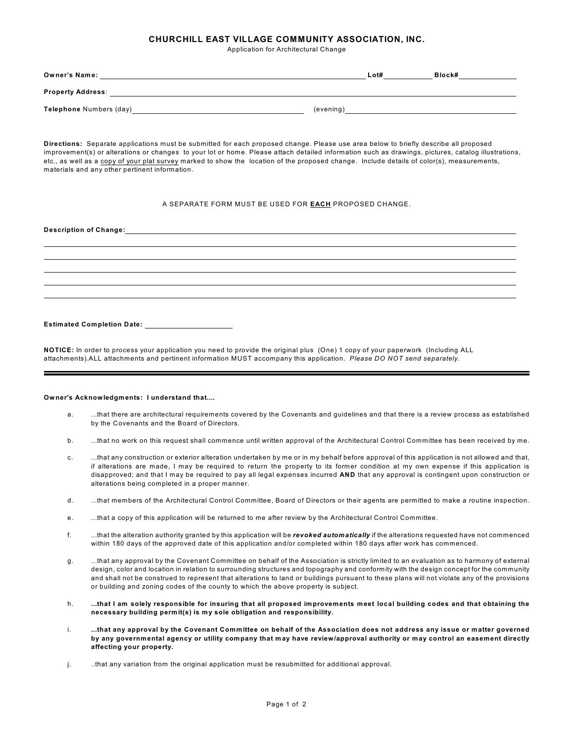## **CHURCHILL EAST VILLAGE COMMUNITY ASSOCIATION, INC.**

Application for Architectural Change

| <b>Owner's Name:</b>     |           | Lot# | Block# |
|--------------------------|-----------|------|--------|
| <b>Property Address:</b> |           |      |        |
| Telephone Numbers (day)  | (evening) |      |        |

**Directions:** Separate applications must be submitted for each proposed change. Please use area below to briefly describe all proposed improvement(s) or alterations or changes to your lot or home. Please attach detailed information such as drawings, pictures, catalog illustrations, etc., as well as a copy of your plat survey marked to show the location of the proposed change. Include details of color(s), measurements, materials and any other pertinent information.

## A SEPARATE FORM MUST BE USED FOR **EACH** PROPOSED CHANGE.

## **Description of Change: Estimated Completion Date:**

**NOTICE:** In order to process your application you need to provide the original plus (One) 1 copy of your paperwork (Including ALL attachments).ALL attachments and pertinent information MUST accompany this application. *Please DO NOT send separately*.

## **Owner's Acknowledgments: I understand that....**

- a. ...that there are architectural requirements covered by the Covenants and guidelines and that there is a review process as established by the Covenants and the Board of Directors.
- b. ...that no work on this request shall commence until written approval of the Architectural Control Committee has been received by me.
- c. ...that any construction or exterior alteration undertaken by me or in my behalf before approval of this application is not allowed and that, if alterations are made, I may be required to return the property to its former condition at my own expense if this application is disapproved; and that I may be required to pay all legal expenses incurred **AND** that any approval is contingent upon construction or alterations being completed in a proper manner.
- d. ...that members of the Architectural Control Committee, Board of Directors or their agents are permitted to make a routine inspection.
- e. ...that a copy of this application will be returned to me after review by the Architectural Control Committee.
- f. ...that the alteration authority granted by this application will be *revoked automatically* if the alterations requested have not commenced within 180 days of the approved date of this application and/or completed within 180 days after work has commenced.
- g. ...that any approval by the Covenant Committee on behalf of the Association is strictly limited to an evaluation as to harmony of external design, color and location in relation to surrounding structures and topography and conformity with the design concept for the community and shall not be construed to represent that alterations to land or buildings pursuant to these plans will not violate any of the provisions or building and zoning codes of the county to which the above property is subject.
- h. **...that I am solely responsible for insuring that all proposed improvements meet local building codes and that obtaining the necessary building permit(s) is my sole obligation and responsibility.**
- i. **...that any approval by the Covenant Committee on behalf of the Association does not address any issue or matter governed by any governmental agency or utility company that may have review/approval authority or may control an easement directly affecting your property.**
- j. ..that any variation from the original application must be resubmitted for additional approval.